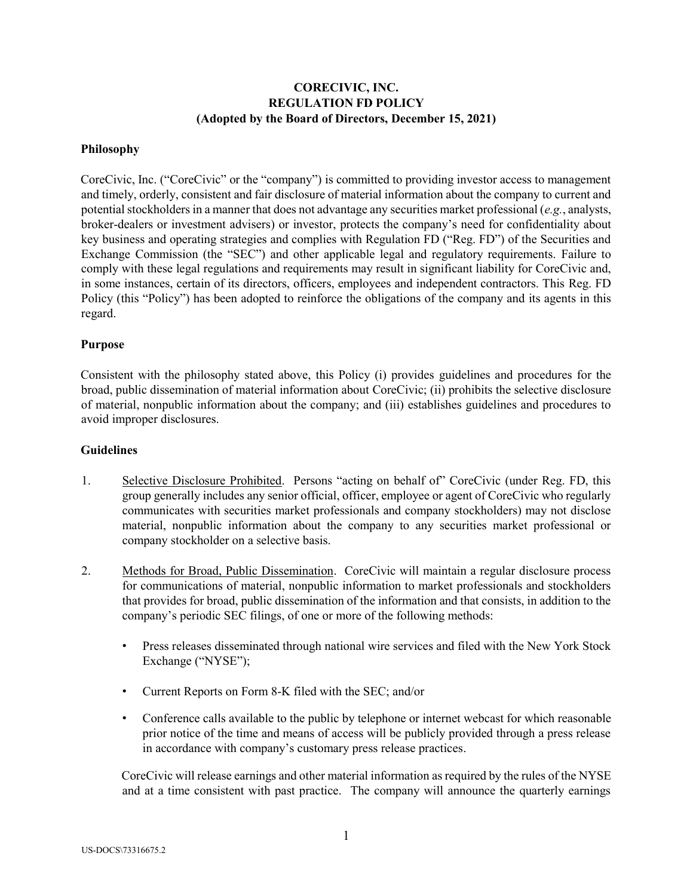# **CORECIVIC, INC. REGULATION FD POLICY (Adopted by the Board of Directors, December 15, 2021)**

#### **Philosophy**

CoreCivic, Inc. ("CoreCivic" or the "company") is committed to providing investor access to management and timely, orderly, consistent and fair disclosure of material information about the company to current and potential stockholders in a manner that does not advantage any securities market professional (*e.g.*, analysts, broker-dealers or investment advisers) or investor, protects the company's need for confidentiality about key business and operating strategies and complies with Regulation FD ("Reg. FD") of the Securities and Exchange Commission (the "SEC") and other applicable legal and regulatory requirements. Failure to comply with these legal regulations and requirements may result in significant liability for CoreCivic and, in some instances, certain of its directors, officers, employees and independent contractors. This Reg. FD Policy (this "Policy") has been adopted to reinforce the obligations of the company and its agents in this regard.

#### **Purpose**

Consistent with the philosophy stated above, this Policy (i) provides guidelines and procedures for the broad, public dissemination of material information about CoreCivic; (ii) prohibits the selective disclosure of material, nonpublic information about the company; and (iii) establishes guidelines and procedures to avoid improper disclosures.

#### **Guidelines**

- 1. Selective Disclosure Prohibited. Persons "acting on behalf of" CoreCivic (under Reg. FD, this group generally includes any senior official, officer, employee or agent of CoreCivic who regularly communicates with securities market professionals and company stockholders) may not disclose material, nonpublic information about the company to any securities market professional or company stockholder on a selective basis.
- 2. Methods for Broad, Public Dissemination. CoreCivic will maintain a regular disclosure process for communications of material, nonpublic information to market professionals and stockholders that provides for broad, public dissemination of the information and that consists, in addition to the company's periodic SEC filings, of one or more of the following methods:
	- Press releases disseminated through national wire services and filed with the New York Stock Exchange ("NYSE");
	- Current Reports on Form 8-K filed with the SEC; and/or
	- Conference calls available to the public by telephone or internet webcast for which reasonable prior notice of the time and means of access will be publicly provided through a press release in accordance with company's customary press release practices.

CoreCivic will release earnings and other material information as required by the rules of the NYSE and at a time consistent with past practice. The company will announce the quarterly earnings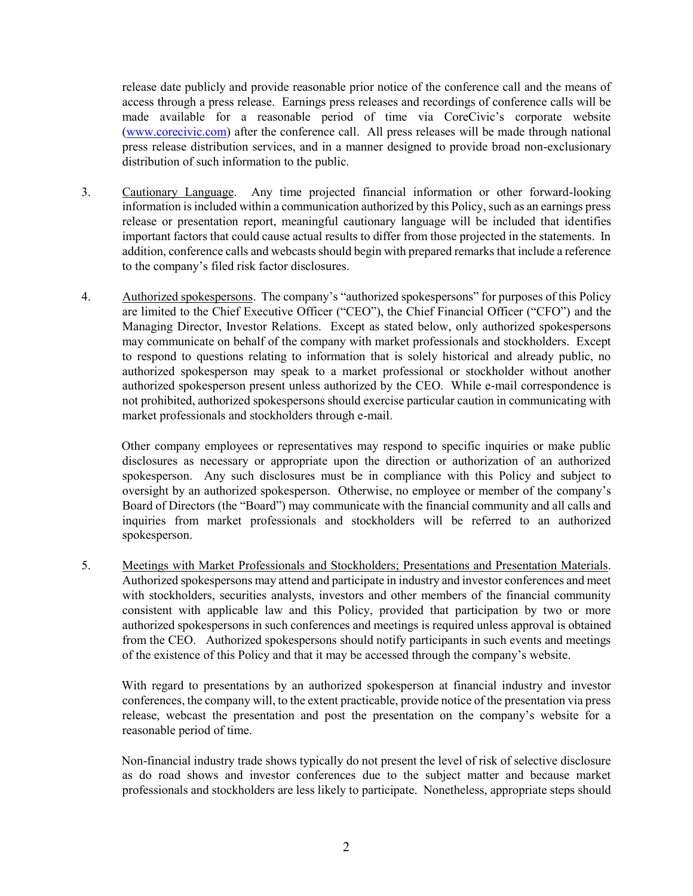release date publicly and provide reasonable prior notice of the conference call and the means of access through a press release. Earnings press releases and recordings of conference calls will be made available for a reasonable period of time via CoreCivic's corporate website (www.corecivic.co[m\)](http://www.correctionscorp.com/) after the conference call. All press releases will be made through national press release distribution services, and in a manner designed to provide broad non-exclusionary distribution of such information to the public.

- 3. Cautionary Language. Any time projected financial information or other forward-looking information is included within a communication authorized by this Policy, such as an earnings press release or presentation report, meaningful cautionary language will be included that identifies important factors that could cause actual results to differ from those projected in the statements. In addition, conference calls and webcasts should begin with prepared remarks that include a reference to the company's filed risk factor disclosures.
- 4. Authorized spokespersons. The company's "authorized spokespersons" for purposes of this Policy are limited to the Chief Executive Officer ("CEO"), the Chief Financial Officer ("CFO") and the Managing Director, Investor Relations. Except as stated below, only authorized spokespersons may communicate on behalf of the company with market professionals and stockholders. Except to respond to questions relating to information that is solely historical and already public, no authorized spokesperson may speak to a market professional or stockholder without another authorized spokesperson present unless authorized by the CEO. While e-mail correspondence is not prohibited, authorized spokespersons should exercise particular caution in communicating with market professionals and stockholders through e-mail.

Other company employees or representatives may respond to specific inquiries or make public disclosures as necessary or appropriate upon the direction or authorization of an authorized spokesperson. Any such disclosures must be in compliance with this Policy and subject to oversight by an authorized spokesperson. Otherwise, no employee or member of the company's Board of Directors (the "Board") may communicate with the financial community and all calls and inquiries from market professionals and stockholders will be referred to an authorized spokesperson.

5. Meetings with Market Professionals and Stockholders; Presentations and Presentation Materials. Authorized spokespersons may attend and participate in industry and investor conferences and meet with stockholders, securities analysts, investors and other members of the financial community consistent with applicable law and this Policy, provided that participation by two or more authorized spokespersons in such conferences and meetings is required unless approval is obtained from the CEO. Authorized spokespersons should notify participants in such events and meetings of the existence of this Policy and that it may be accessed through the company's website.

With regard to presentations by an authorized spokesperson at financial industry and investor conferences, the company will, to the extent practicable, provide notice of the presentation via press release, webcast the presentation and post the presentation on the company's website for a reasonable period of time.

Non-financial industry trade shows typically do not present the level of risk of selective disclosure as do road shows and investor conferences due to the subject matter and because market professionals and stockholders are less likely to participate. Nonetheless, appropriate steps should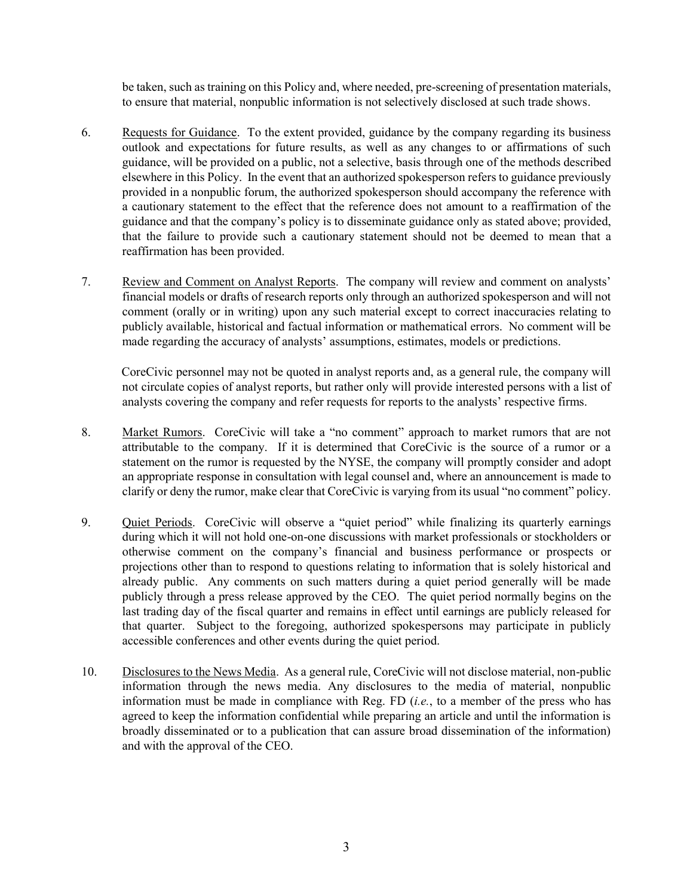be taken, such as training on this Policy and, where needed, pre-screening of presentation materials, to ensure that material, nonpublic information is not selectively disclosed at such trade shows.

- 6. Requests for Guidance. To the extent provided, guidance by the company regarding its business outlook and expectations for future results, as well as any changes to or affirmations of such guidance, will be provided on a public, not a selective, basis through one of the methods described elsewhere in this Policy. In the event that an authorized spokesperson refers to guidance previously provided in a nonpublic forum, the authorized spokesperson should accompany the reference with a cautionary statement to the effect that the reference does not amount to a reaffirmation of the guidance and that the company's policy is to disseminate guidance only as stated above; provided, that the failure to provide such a cautionary statement should not be deemed to mean that a reaffirmation has been provided.
- 7. Review and Comment on Analyst Reports. The company will review and comment on analysts' financial models or drafts of research reports only through an authorized spokesperson and will not comment (orally or in writing) upon any such material except to correct inaccuracies relating to publicly available, historical and factual information or mathematical errors. No comment will be made regarding the accuracy of analysts' assumptions, estimates, models or predictions.

CoreCivic personnel may not be quoted in analyst reports and, as a general rule, the company will not circulate copies of analyst reports, but rather only will provide interested persons with a list of analysts covering the company and refer requests for reports to the analysts' respective firms.

- 8. Market Rumors. CoreCivic will take a "no comment" approach to market rumors that are not attributable to the company. If it is determined that CoreCivic is the source of a rumor or a statement on the rumor is requested by the NYSE, the company will promptly consider and adopt an appropriate response in consultation with legal counsel and, where an announcement is made to clarify or deny the rumor, make clear that CoreCivic is varying from its usual "no comment" policy.
- 9. Quiet Periods. CoreCivic will observe a "quiet period" while finalizing its quarterly earnings during which it will not hold one-on-one discussions with market professionals or stockholders or otherwise comment on the company's financial and business performance or prospects or projections other than to respond to questions relating to information that is solely historical and already public. Any comments on such matters during a quiet period generally will be made publicly through a press release approved by the CEO. The quiet period normally begins on the last trading day of the fiscal quarter and remains in effect until earnings are publicly released for that quarter. Subject to the foregoing, authorized spokespersons may participate in publicly accessible conferences and other events during the quiet period.
- 10. Disclosures to the News Media. As a general rule, CoreCivic will not disclose material, non-public information through the news media. Any disclosures to the media of material, nonpublic information must be made in compliance with Reg. FD (*i.e.*, to a member of the press who has agreed to keep the information confidential while preparing an article and until the information is broadly disseminated or to a publication that can assure broad dissemination of the information) and with the approval of the CEO.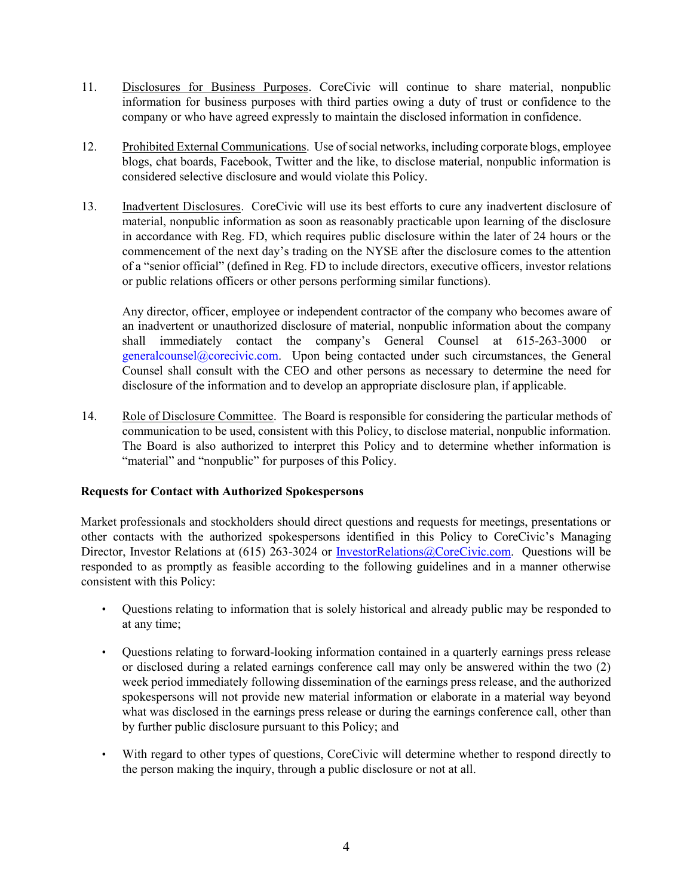- 11. Disclosures for Business Purposes. CoreCivic will continue to share material, nonpublic information for business purposes with third parties owing a duty of trust or confidence to the company or who have agreed expressly to maintain the disclosed information in confidence.
- 12. Prohibited External Communications. Use of social networks, including corporate blogs, employee blogs, chat boards, Facebook, Twitter and the like, to disclose material, nonpublic information is considered selective disclosure and would violate this Policy.
- 13. Inadvertent Disclosures. CoreCivic will use its best efforts to cure any inadvertent disclosure of material, nonpublic information as soon as reasonably practicable upon learning of the disclosure in accordance with Reg. FD, which requires public disclosure within the later of 24 hours or the commencement of the next day's trading on the NYSE after the disclosure comes to the attention of a "senior official" (defined in Reg. FD to include directors, executive officers, investor relations or public relations officers or other persons performing similar functions).

Any director, officer, employee or independent contractor of the company who becomes aware of an inadvertent or unauthorized disclosure of material, nonpublic information about the company shall immediately contact the company's General Counsel at 615-263-3000 or generalcounsel@corecivic.com. Upon being contacted under such circumstances, the General Counsel shall consult with the CEO and other persons as necessary to determine the need for disclosure of the information and to develop an appropriate disclosure plan, if applicable.

14. Role of Disclosure Committee. The Board is responsible for considering the particular methods of communication to be used, consistent with this Policy, to disclose material, nonpublic information. The Board is also authorized to interpret this Policy and to determine whether information is "material" and "nonpublic" for purposes of this Policy.

## **Requests for Contact with Authorized Spokespersons**

Market professionals and stockholders should direct questions and requests for meetings, presentations or other contacts with the authorized spokespersons identified in this Policy to CoreCivic's Managing Director, Investor Relations at (615) 263-3024 or InvestorRelations@CoreCivic.com. Questions will be responded to as promptly as feasible according to the following guidelines and in a manner otherwise consistent with this Policy:

- Questions relating to information that is solely historical and already public may be responded to at any time;
- Questions relating to forward-looking information contained in a quarterly earnings press release or disclosed during a related earnings conference call may only be answered within the two (2) week period immediately following dissemination of the earnings press release, and the authorized spokespersons will not provide new material information or elaborate in a material way beyond what was disclosed in the earnings press release or during the earnings conference call, other than by further public disclosure pursuant to this Policy; and
- With regard to other types of questions, CoreCivic will determine whether to respond directly to the person making the inquiry, through a public disclosure or not at all.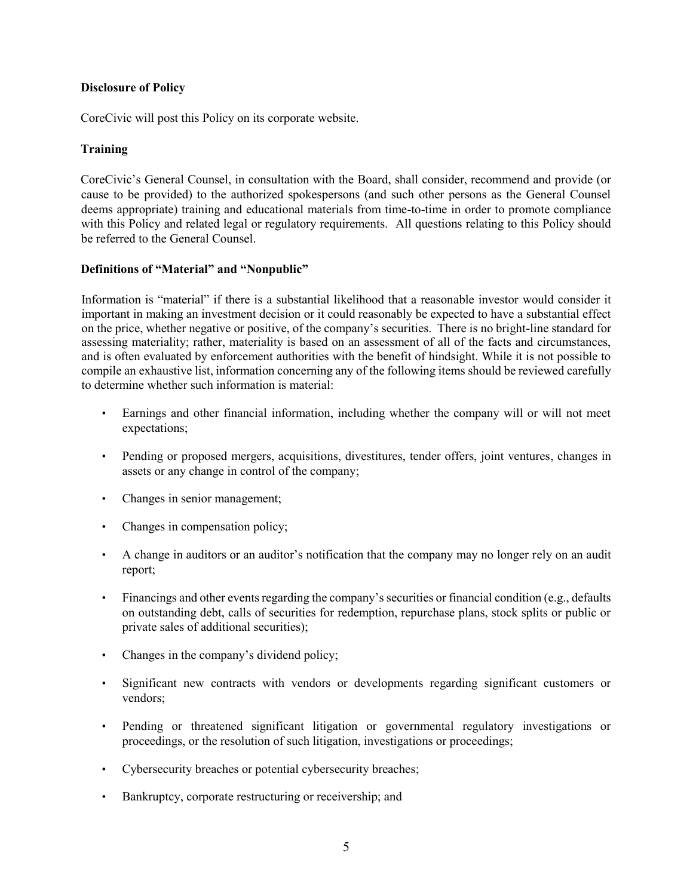# **Disclosure of Policy**

CoreCivic will post this Policy on its corporate website.

# **Training**

CoreCivic's General Counsel, in consultation with the Board, shall consider, recommend and provide (or cause to be provided) to the authorized spokespersons (and such other persons as the General Counsel deems appropriate) training and educational materials from time-to-time in order to promote compliance with this Policy and related legal or regulatory requirements. All questions relating to this Policy should be referred to the General Counsel.

### **Definitions of "Material" and "Nonpublic"**

Information is "material" if there is a substantial likelihood that a reasonable investor would consider it important in making an investment decision or it could reasonably be expected to have a substantial effect on the price, whether negative or positive, of the company's securities. There is no bright-line standard for assessing materiality; rather, materiality is based on an assessment of all of the facts and circumstances, and is often evaluated by enforcement authorities with the benefit of hindsight. While it is not possible to compile an exhaustive list, information concerning any of the following items should be reviewed carefully to determine whether such information is material:

- Earnings and other financial information, including whether the company will or will not meet expectations;
- Pending or proposed mergers, acquisitions, divestitures, tender offers, joint ventures, changes in assets or any change in control of the company;
- Changes in senior management;
- Changes in compensation policy;
- A change in auditors or an auditor's notification that the company may no longer rely on an audit report;
- Financings and other events regarding the company's securities or financial condition (e.g., defaults on outstanding debt, calls of securities for redemption, repurchase plans, stock splits or public or private sales of additional securities);
- Changes in the company's dividend policy;
- Significant new contracts with vendors or developments regarding significant customers or vendors;
- Pending or threatened significant litigation or governmental regulatory investigations or proceedings, or the resolution of such litigation, investigations or proceedings;
- Cybersecurity breaches or potential cybersecurity breaches;
- Bankruptcy, corporate restructuring or receivership; and